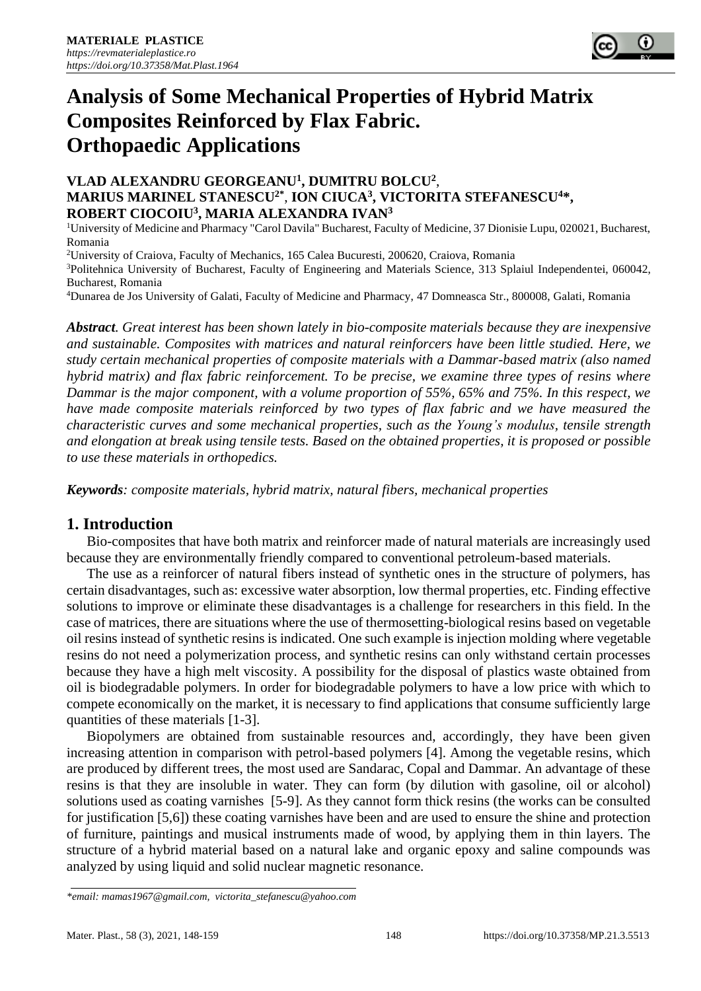

# **Analysis of Some Mechanical Properties of Hybrid Matrix Composites Reinforced by Flax Fabric. Orthopaedic Applications**

## **VLAD ALEXANDRU GEORGEANU<sup>1</sup> , DUMITRU BOLCU<sup>2</sup>** , **MARIUS MARINEL STANESCU2\*** , **ION CIUCA<sup>3</sup> , VICTORITA STEFANESCU<sup>4</sup>\*, ROBERT CIOCOIU<sup>3</sup> , MARIA ALEXANDRA IVAN<sup>3</sup>**

<sup>1</sup>University of Medicine and Pharmacy "Carol Davila" Bucharest, Faculty of Medicine, 37 Dionisie Lupu, 020021, Bucharest, Romania

<sup>2</sup>University of Craiova, Faculty of Mechanics, 165 Calea Bucuresti, 200620, Craiova, Romania

<sup>3</sup>Politehnica University of Bucharest, Faculty of Engineering and Materials Science, 313 Splaiul Independentei, 060042, Bucharest, Romania

<sup>4</sup>Dunarea de Jos University of Galati, Faculty of Medicine and Pharmacy, 47 Domneasca Str., 800008, Galati, Romania

*Abstract. Great interest has been shown lately in bio-composite materials because they are inexpensive and sustainable. Composites with matrices and natural reinforcers have been little studied. Here, we study certain mechanical properties of composite materials with a Dammar-based matrix (also named hybrid matrix) and flax fabric reinforcement. To be precise, we examine three types of resins where Dammar is the major component, with a volume proportion of 55%, 65% and 75%. In this respect, we have made composite materials reinforced by two types of flax fabric and we have measured the characteristic curves and some mechanical properties, such as the Young's modulus, tensile strength and elongation at break using tensile tests. Based on the obtained properties, it is proposed or possible to use these materials in orthopedics.*

*Keywords: composite materials, hybrid matrix, natural fibers, mechanical properties*

# **1. Introduction**

Bio-composites that have both matrix and reinforcer made of natural materials are increasingly used because they are environmentally friendly compared to conventional petroleum-based materials.

The use as a reinforcer of natural fibers instead of synthetic ones in the structure of polymers, has certain disadvantages, such as: excessive water absorption, low thermal properties, etc. Finding effective solutions to improve or eliminate these disadvantages is a challenge for researchers in this field. In the case of matrices, there are situations where the use of thermosetting-biological resins based on vegetable oil resins instead of synthetic resins is indicated. One such example is injection molding where vegetable resins do not need a polymerization process, and synthetic resins can only withstand certain processes because they have a high melt viscosity. A possibility for the disposal of plastics waste obtained from oil is biodegradable polymers. In order for biodegradable polymers to have a low price with which to compete economically on the market, it is necessary to find applications that consume sufficiently large quantities of these materials [1-3].

Biopolymers are obtained from sustainable resources and, accordingly, they have been given increasing attention in comparison with petrol-based polymers [4]. Among the vegetable resins, which are produced by different trees, the most used are Sandarac, Copal and Dammar. An advantage of these resins is that they are insoluble in water. They can form (by dilution with gasoline, oil or alcohol) solutions used as coating varnishes [5-9]. As they cannot form thick resins (the works can be consulted for justification [5,6]) these coating varnishes have been and are used to ensure the shine and protection of furniture, paintings and musical instruments made of wood, by applying them in thin layers. The structure of a hybrid material based on a natural lake and organic epoxy and saline compounds was analyzed by using liquid and solid nuclear magnetic resonance.

*<sup>\*</sup>email[: mamas1967@gmail.com,](mailto:mamas1967@gmail.com) victorita\_stefanescu@yahoo.com*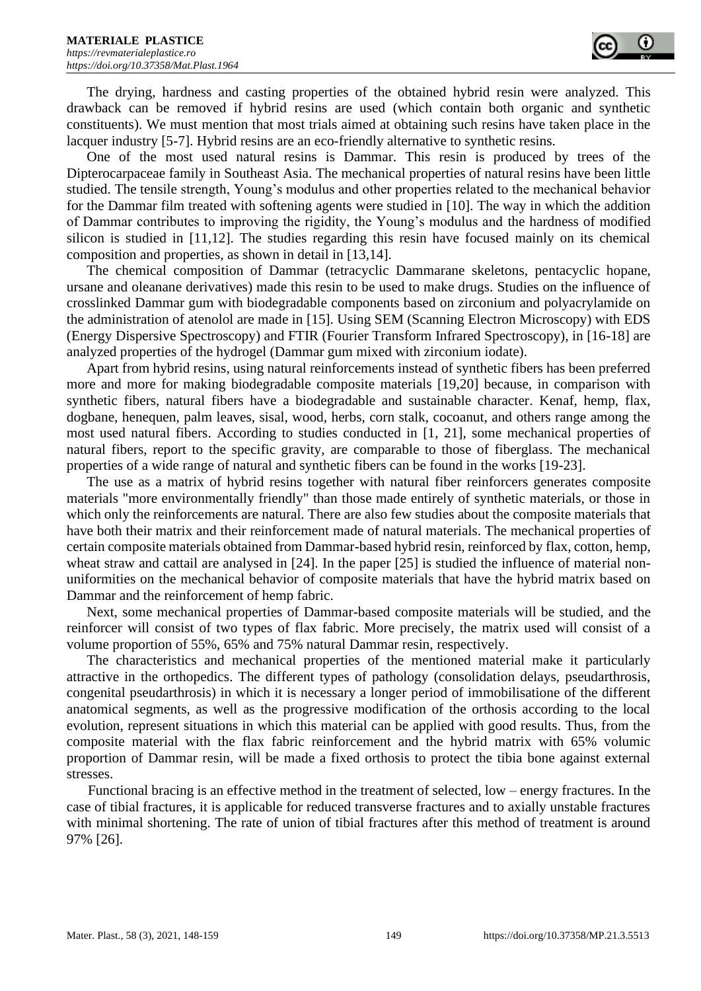The drying, hardness and casting properties of the obtained hybrid resin were analyzed. This drawback can be removed if hybrid resins are used (which contain both organic and synthetic constituents). We must mention that most trials aimed at obtaining such resins have taken place in the lacquer industry [5-7]. Hybrid resins are an eco-friendly alternative to synthetic resins.

One of the most used natural resins is Dammar. This resin is produced by trees of the Dipterocarpaceae family in Southeast Asia. The mechanical properties of natural resins have been little studied. The tensile strength, Young's modulus and other properties related to the mechanical behavior for the Dammar film treated with softening agents were studied in [10]. The way in which the addition of Dammar contributes to improving the rigidity, the Young's modulus and the hardness of modified silicon is studied in [11,12]. The studies regarding this resin have focused mainly on its chemical composition and properties, as shown in detail in [13,14].

The chemical composition of Dammar (tetracyclic Dammarane skeletons, pentacyclic hopane, ursane and oleanane derivatives) made this resin to be used to make drugs. Studies on the influence of crosslinked Dammar gum with biodegradable components based on zirconium and polyacrylamide on the administration of atenolol are made in [15]. Using SEM (Scanning Electron Microscopy) with EDS (Energy Dispersive Spectroscopy) and FTIR (Fourier Transform Infrared Spectroscopy), in [16-18] are analyzed properties of the hydrogel (Dammar gum mixed with zirconium iodate).

Apart from hybrid resins, using natural reinforcements instead of synthetic fibers has been preferred more and more for making biodegradable composite materials [19,20] because, in comparison with synthetic fibers, natural fibers have a biodegradable and sustainable character. Kenaf, hemp, flax, dogbane, henequen, palm leaves, sisal, wood, herbs, corn stalk, cocoanut, and others range among the most used natural fibers. According to studies conducted in [1, 21], some mechanical properties of natural fibers, report to the specific gravity, are comparable to those of fiberglass. The mechanical properties of a wide range of natural and synthetic fibers can be found in the works [19-23].

The use as a matrix of hybrid resins together with natural fiber reinforcers generates composite materials "more environmentally friendly" than those made entirely of synthetic materials, or those in which only the reinforcements are natural. There are also few studies about the composite materials that have both their matrix and their reinforcement made of natural materials. The mechanical properties of certain composite materials obtained from Dammar-based hybrid resin, reinforced by flax, cotton, hemp, wheat straw and cattail are analysed in [24]. In the paper [25] is studied the influence of material nonuniformities on the mechanical behavior of composite materials that have the hybrid matrix based on Dammar and the reinforcement of hemp fabric.

Next, some mechanical properties of Dammar-based composite materials will be studied, and the reinforcer will consist of two types of flax fabric. More precisely, the matrix used will consist of a volume proportion of 55%, 65% and 75% natural Dammar resin, respectively.

The characteristics and mechanical properties of the mentioned material make it particularly attractive in the orthopedics. The different types of pathology (consolidation delays, pseudarthrosis, congenital pseudarthrosis) in which it is necessary a longer period of immobilisatione of the different anatomical segments, as well as the progressive modification of the orthosis according to the local evolution, represent situations in which this material can be applied with good results. Thus, from the composite material with the flax fabric reinforcement and the hybrid matrix with 65% volumic proportion of Dammar resin, will be made a fixed orthosis to protect the tibia bone against external stresses.

Functional bracing is an effective method in the treatment of selected, low – energy fractures. In the case of tibial fractures, it is applicable for reduced transverse fractures and to axially unstable fractures with minimal shortening. The rate of union of tibial fractures after this method of treatment is around 97% [26].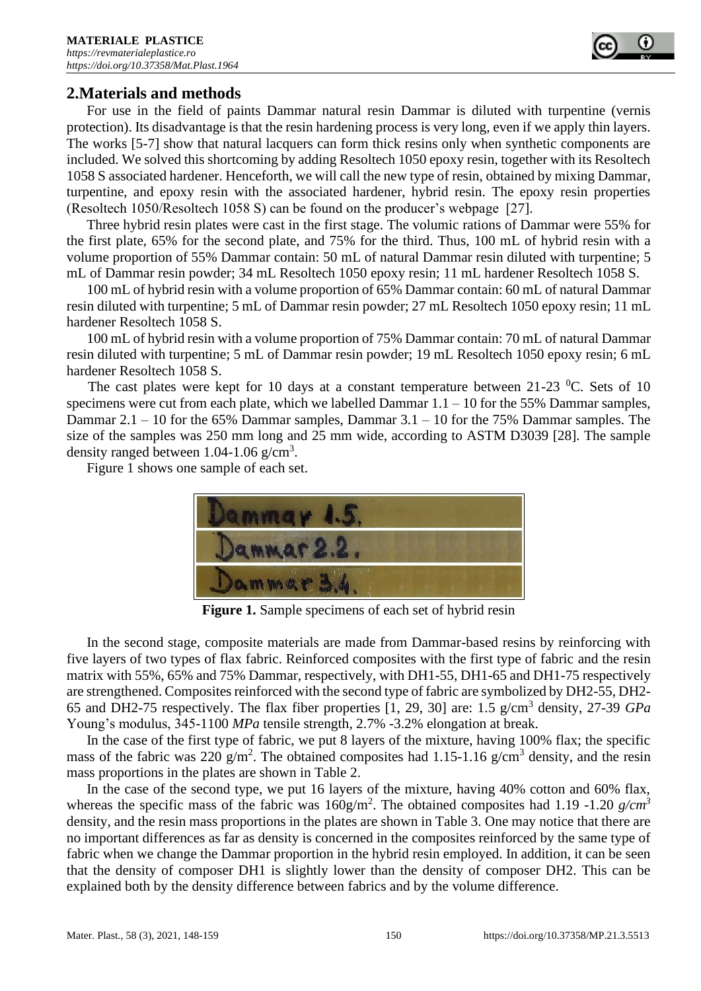

# **2.Materials and methods**

For use in the field of paints Dammar natural resin Dammar is diluted with turpentine (vernis protection). Its disadvantage is that the resin hardening process is very long, even if we apply thin layers. The works [5-7] show that natural lacquers can form thick resins only when synthetic components are included. We solved this shortcoming by adding Resoltech 1050 epoxy resin, together with its Resoltech 1058 S associated hardener. Henceforth, we will call the new type of resin, obtained by mixing Dammar, turpentine, and epoxy resin with the associated hardener, hybrid resin. The epoxy resin properties (Resoltech 1050/Resoltech 1058 S) can be found on the producer's webpage [27].

Three hybrid resin plates were cast in the first stage. The volumic rations of Dammar were 55% for the first plate, 65% for the second plate, and 75% for the third. Thus, 100 mL of hybrid resin with a volume proportion of 55% Dammar contain: 50 mL of natural Dammar resin diluted with turpentine; 5 mL of Dammar resin powder; 34 mL Resoltech 1050 epoxy resin; 11 mL hardener Resoltech 1058 S.

100 mL of hybrid resin with a volume proportion of 65% Dammar contain: 60 mL of natural Dammar resin diluted with turpentine; 5 mL of Dammar resin powder; 27 mL Resoltech 1050 epoxy resin; 11 mL hardener Resoltech 1058 S.

100 mL of hybrid resin with a volume proportion of 75% Dammar contain: 70 mL of natural Dammar resin diluted with turpentine; 5 mL of Dammar resin powder; 19 mL Resoltech 1050 epoxy resin; 6 mL hardener Resoltech 1058 S.

The cast plates were kept for 10 days at a constant temperature between 21-23  $^{\circ}$ C. Sets of 10 specimens were cut from each plate, which we labelled Dammar 1.1 – 10 for the 55% Dammar samples, Dammar 2.1 – 10 for the 65% Dammar samples, Dammar 3.1 – 10 for the 75% Dammar samples. The size of the samples was 250 mm long and 25 mm wide, according to ASTM D3039 [28]. The sample density ranged between  $1.04 - 1.06$  g/cm<sup>3</sup>.

Figure 1 shows one sample of each set.



**Figure 1.** Sample specimens of each set of hybrid resin

In the second stage, composite materials are made from Dammar-based resins by reinforcing with five layers of two types of flax fabric. Reinforced composites with the first type of fabric and the resin matrix with 55%, 65% and 75% Dammar, respectively, with DH1-55, DH1-65 and DH1-75 respectively are strengthened. Composites reinforced with the second type of fabric are symbolized by DH2-55, DH2- 65 and DH2-75 respectively. The flax fiber properties [1, 29, 30] are: 1.5 g/cm<sup>3</sup> density, 27-39 *GPa* Young's modulus, 345-1100 *MPa* tensile strength, 2.7% -3.2% elongation at break.

In the case of the first type of fabric, we put 8 layers of the mixture, having 100% flax; the specific mass of the fabric was 220  $g/m^2$ . The obtained composites had 1.15-1.16  $g/cm^3$  density, and the resin mass proportions in the plates are shown in Table 2.

In the case of the second type, we put 16 layers of the mixture, having 40% cotton and 60% flax, whereas the specific mass of the fabric was  $160g/m^2$ . The obtained composites had 1.19 -1.20  $g/cm^3$ density, and the resin mass proportions in the plates are shown in Table 3. One may notice that there are no important differences as far as density is concerned in the composites reinforced by the same type of fabric when we change the Dammar proportion in the hybrid resin employed. In addition, it can be seen that the density of composer DH1 is slightly lower than the density of composer DH2. This can be explained both by the density difference between fabrics and by the volume difference.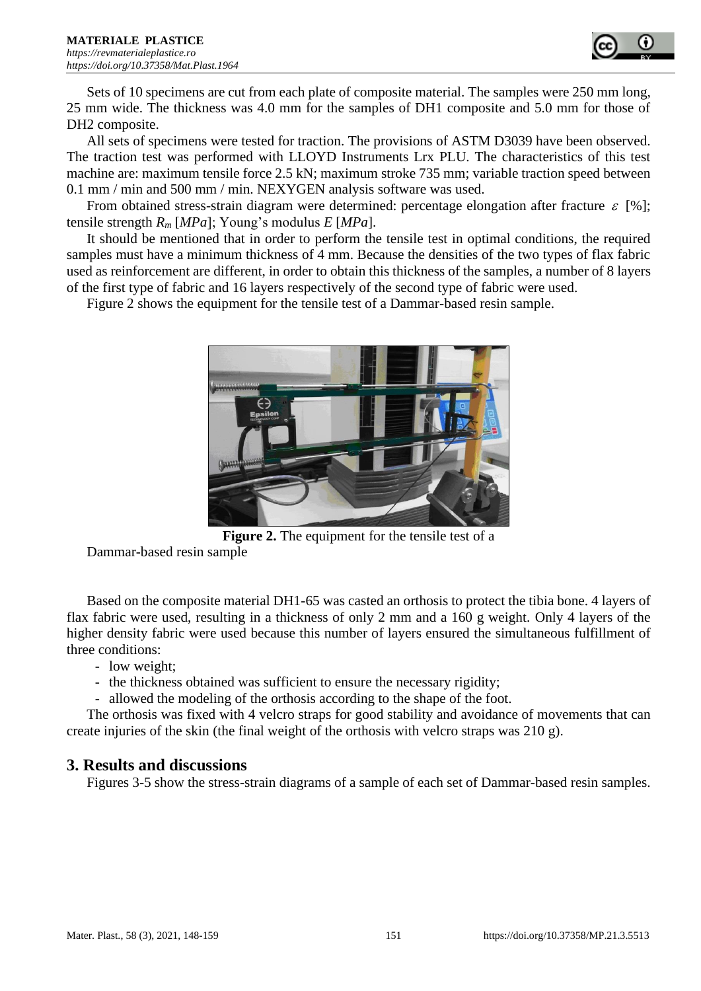

Sets of 10 specimens are cut from each plate of composite material. The samples were 250 mm long, 25 mm wide. The thickness was 4.0 mm for the samples of DH1 composite and 5.0 mm for those of DH2 composite.

All sets of specimens were tested for traction. The provisions of ASTM D3039 have been observed. The traction test was performed with LLOYD Instruments Lrx PLU. The characteristics of this test machine are: maximum tensile force 2.5 kN; maximum stroke 735 mm; variable traction speed between 0.1 mm / min and 500 mm / min. NEXYGEN analysis software was used.

From obtained stress-strain diagram were determined: percentage elongation after fracture  $\varepsilon$  [%]; tensile strength *R<sup>m</sup>* [*MPa*]; Young's modulus *E* [*MPa*].

It should be mentioned that in order to perform the tensile test in optimal conditions, the required samples must have a minimum thickness of 4 mm. Because the densities of the two types of flax fabric used as reinforcement are different, in order to obtain this thickness of the samples, a number of 8 layers of the first type of fabric and 16 layers respectively of the second type of fabric were used.

Figure 2 shows the equipment for the tensile test of a Dammar-based resin sample.



**Figure 2.** The equipment for the tensile test of a

Dammar-based resin sample

Based on the composite material DH1-65 was casted an orthosis to protect the tibia bone. 4 layers of flax fabric were used, resulting in a thickness of only 2 mm and a 160 g weight. Only 4 layers of the higher density fabric were used because this number of layers ensured the simultaneous fulfillment of three conditions:

- low weight;
- the thickness obtained was sufficient to ensure the necessary rigidity;
- allowed the modeling of the orthosis according to the shape of the foot.

The orthosis was fixed with 4 velcro straps for good stability and avoidance of movements that can create injuries of the skin (the final weight of the orthosis with velcro straps was 210 g).

## **3. Results and discussions**

Figures 3-5 show the stress-strain diagrams of a sample of each set of Dammar-based resin samples.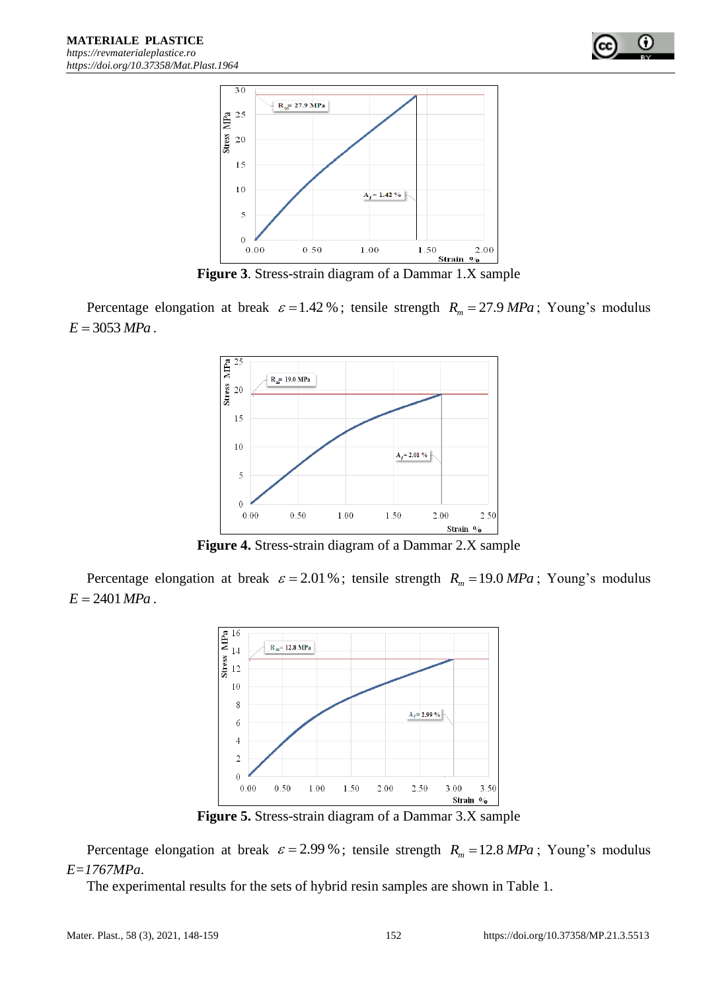

**Figure 3**. Stress-strain diagram of a Dammar 1.X sample

Percentage elongation at break  $\varepsilon = 1.42 \%$ ; tensile strength  $R_m = 27.9 MPa$ ; Young's modulus  $E = 3053 MPa$ .



**Figure 4.** Stress-strain diagram of a Dammar 2.X sample

Percentage elongation at break  $\varepsilon = 2.01\%$ ; tensile strength  $R_m = 19.0 \text{ MPa}$ ; Young's modulus  $E = 2401 MPa$ .



**Figure 5.** Stress-strain diagram of a Dammar 3.X sample

Percentage elongation at break  $\varepsilon = 2.99\%$ ; tensile strength  $R_m = 12.8 MPa$ ; Young's modulus *E=1767MPa*.

The experimental results for the sets of hybrid resin samples are shown in Table 1.

O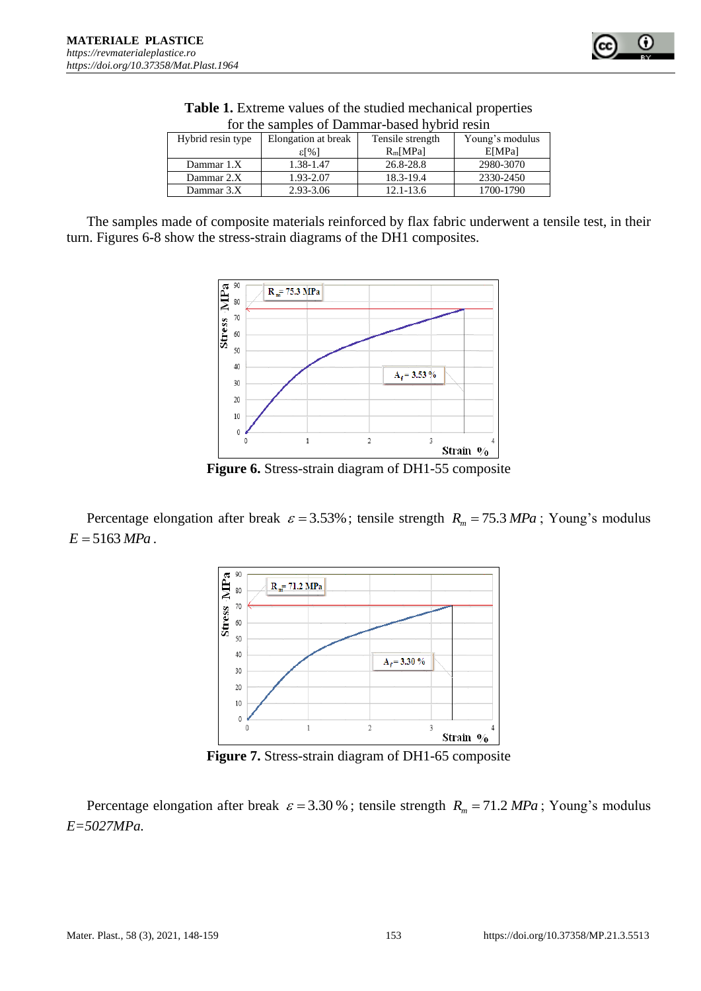

| Tor the sumples of Bunning bused if the result |                     |                  |                 |  |  |  |
|------------------------------------------------|---------------------|------------------|-----------------|--|--|--|
| Hybrid resin type                              | Elongation at break | Tensile strength | Young's modulus |  |  |  |
|                                                | ε[%]                | $R_m[MPa]$       | E[MPa]          |  |  |  |
| Dammar 1.X                                     | 1.38-1.47           | 26.8-28.8        | 2980-3070       |  |  |  |
| Dammar 2.X                                     | 1.93-2.07           | 18.3-19.4        | 2330-2450       |  |  |  |
| Dammar 3.X                                     | 2.93-3.06           | 12.1-13.6        | 1700-1790       |  |  |  |
|                                                |                     |                  |                 |  |  |  |

**Table 1.** Extreme values of the studied mechanical properties for the samples of Dammar-based hybrid resin

The samples made of composite materials reinforced by flax fabric underwent a tensile test, in their turn. Figures 6-8 show the stress-strain diagrams of the DH1 composites.



**Figure 6.** Stress-strain diagram of DH1-55 composite

Percentage elongation after break  $\varepsilon = 3.53\%$ ; tensile strength  $R_m = 75.3 MPa$ ; Young's modulus  $E = 5163 MPa$ .



**Figure 7.** Stress-strain diagram of DH1-65 composite

Percentage elongation after break  $\varepsilon = 3.30\%$ ; tensile strength  $R_m = 71.2 \text{ MPa}$ ; Young's modulus *E=5027MPa.*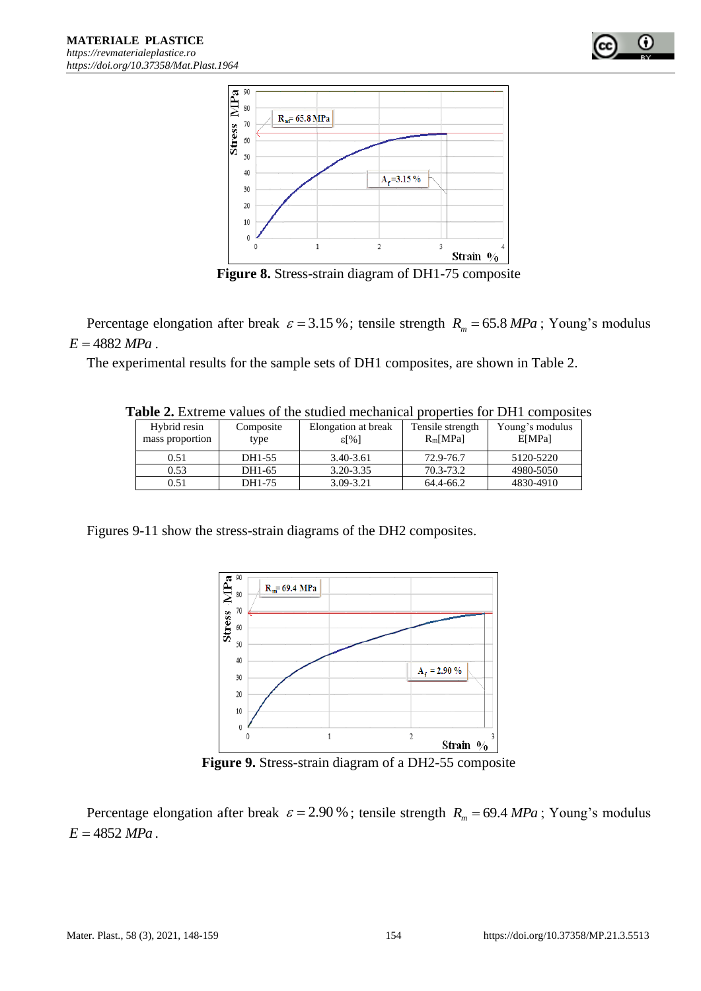

**Figure 8.** Stress-strain diagram of DH1-75 composite

Percentage elongation after break  $\varepsilon = 3.15\%$ ; tensile strength  $R_m = 65.8 \text{ MPa}$ ; Young's modulus  $E = 4882 MPa$ .

The experimental results for the sample sets of DH1 composites, are shown in Table 2.

| <b>Lavic 2.</b> EAUCHIC values of the studied meemanical properties for DTTT composite |                   |                                       |                                |                           |  |  |  |
|----------------------------------------------------------------------------------------|-------------------|---------------------------------------|--------------------------------|---------------------------|--|--|--|
| Hybrid resin<br>mass proportion                                                        | Composite<br>type | Elongation at break<br>$\epsilon$ [%] | Tensile strength<br>$R_m[MPa]$ | Young's modulus<br>E[MPa] |  |  |  |
| 0.51                                                                                   | DH1-55            | 3.40-3.61                             | 72.9-76.7                      | 5120-5220                 |  |  |  |
| 0.53                                                                                   | DH1-65            | $3.20 - 3.35$                         | 70.3-73.2                      | 4980-5050                 |  |  |  |
| 0.51                                                                                   | DH1-75            | 3.09-3.21                             | 64.4-66.2                      | 4830-4910                 |  |  |  |

**Table 2.** Extreme values of the studied mechanical properties for DH1 composites

Figures 9-11 show the stress-strain diagrams of the DH2 composites.



**Figure 9.** Stress-strain diagram of a DH2-55 composite

Percentage elongation after break  $\varepsilon = 2.90\%$ ; tensile strength  $R_m = 69.4 \text{ MPa}$ ; Young's modulus  $E = 4852 MPa$ .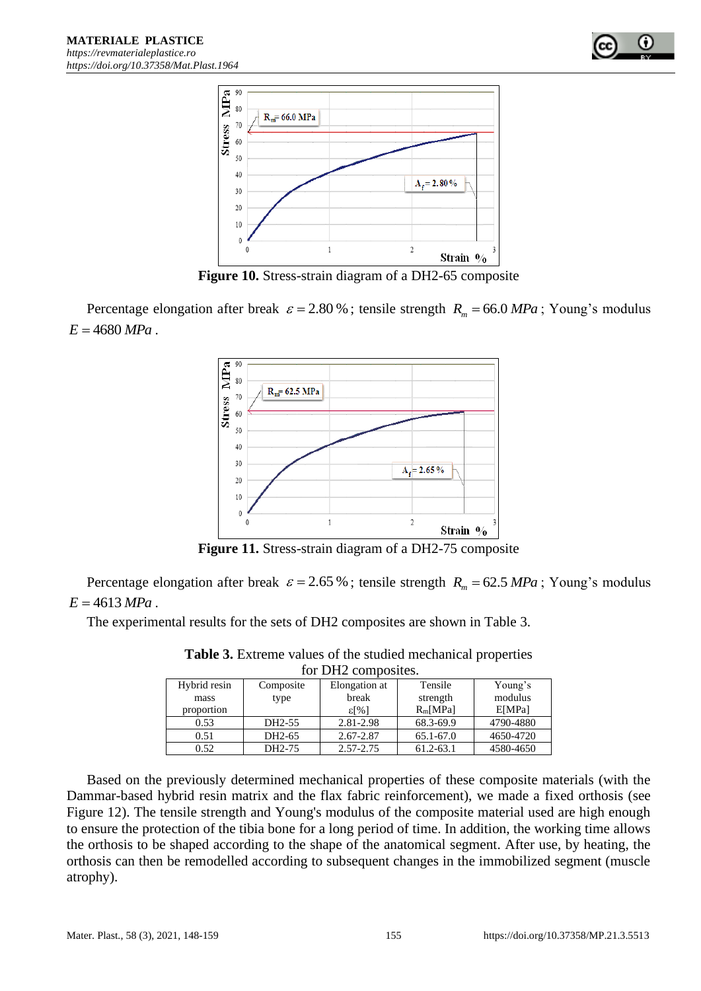



**Figure 10.** Stress-strain diagram of a DH2-65 composite

Percentage elongation after break  $\varepsilon = 2.80\%$ ; tensile strength  $R_m = 66.0 \text{ MPa}$ ; Young's modulus  $E = 4680 MPa$ .



**Figure 11.** Stress-strain diagram of a DH2-75 composite

Percentage elongation after break  $\varepsilon = 2.65\%$ ; tensile strength  $R_m = 62.5 MPa$ ; Young's modulus  $E = 4613 MPa$ .

The experimental results for the sets of DH2 composites are shown in Table 3.

| TOR DHZ COMPOSITES. |                     |                |            |           |  |  |  |
|---------------------|---------------------|----------------|------------|-----------|--|--|--|
| Hybrid resin        | Composite           | Elongation at  | Tensile    | Young's   |  |  |  |
| mass                | type                | break          | strength   | modulus   |  |  |  |
| proportion          |                     | $\epsilon$ [%] | $R_m[MPa]$ | E[MPa]    |  |  |  |
| 0.53                | DH2-55              | 2.81-2.98      | 68.3-69.9  | 4790-4880 |  |  |  |
| 0.51                | DH <sub>2</sub> -65 | $2.67 - 2.87$  | 65.1-67.0  | 4650-4720 |  |  |  |
| 0.52                | DH2-75              | 2.57-2.75      | 61.2-63.1  | 4580-4650 |  |  |  |

**Table 3.** Extreme values of the studied mechanical properties for DH2 composites.

Based on the previously determined mechanical properties of these composite materials (with the Dammar-based hybrid resin matrix and the flax fabric reinforcement), we made a fixed orthosis (see Figure 12). The tensile strength and Young's modulus of the composite material used are high enough to ensure the protection of the tibia bone for a long period of time. In addition, the working time allows the orthosis to be shaped according to the shape of the anatomical segment. After use, by heating, the orthosis can then be remodelled according to subsequent changes in the immobilized segment (muscle atrophy).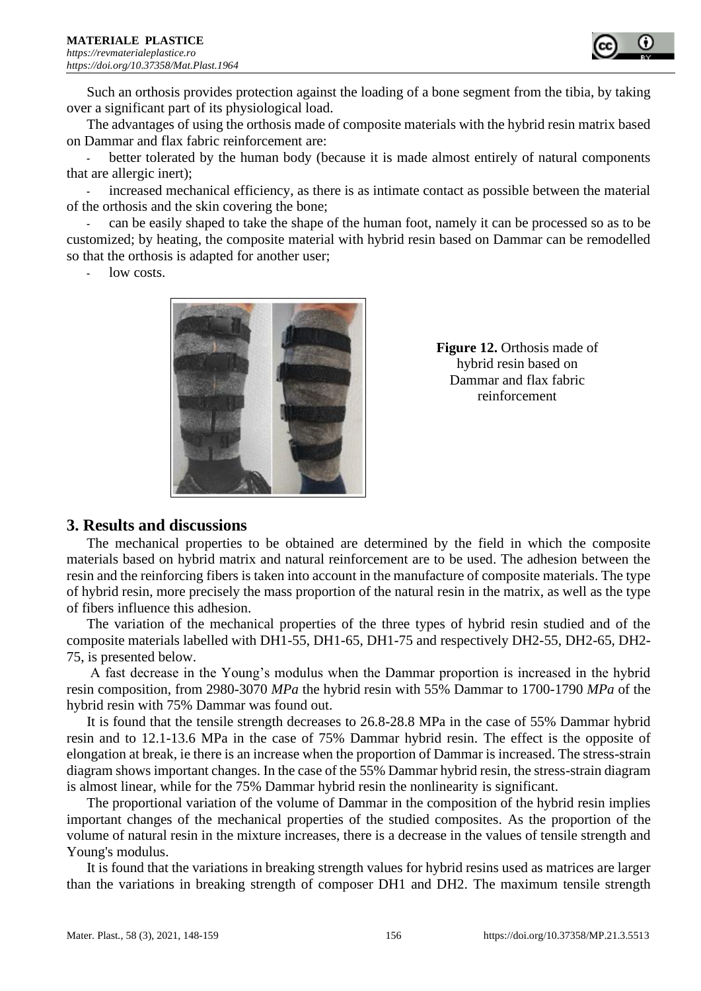

Such an orthosis provides protection against the loading of a bone segment from the tibia, by taking over a significant part of its physiological load.

The advantages of using the orthosis made of composite materials with the hybrid resin matrix based on Dammar and flax fabric reinforcement are:

better tolerated by the human body (because it is made almost entirely of natural components that are allergic inert);

**-** increased mechanical efficiency, as there is as intimate contact as possible between the material of the orthosis and the skin covering the bone;

**-** can be easily shaped to take the shape of the human foot, namely it can be processed so as to be customized; by heating, the composite material with hybrid resin based on Dammar can be remodelled so that the orthosis is adapted for another user;

**-** low costs.



**Figure 12.** Orthosis made of hybrid resin based on Dammar and flax fabric reinforcement

## **3. Results and discussions**

The mechanical properties to be obtained are determined by the field in which the composite materials based on hybrid matrix and natural reinforcement are to be used. The adhesion between the resin and the reinforcing fibers is taken into account in the manufacture of composite materials. The type of hybrid resin, more precisely the mass proportion of the natural resin in the matrix, as well as the type of fibers influence this adhesion.

The variation of the mechanical properties of the three types of hybrid resin studied and of the composite materials labelled with DH1-55, DH1-65, DH1-75 and respectively DH2-55, DH2-65, DH2- 75, is presented below.

A fast decrease in the Young's modulus when the Dammar proportion is increased in the hybrid resin composition, from 2980-3070 *MPa* the hybrid resin with 55% Dammar to 1700-1790 *MPa* of the hybrid resin with 75% Dammar was found out.

It is found that the tensile strength decreases to 26.8-28.8 MPa in the case of 55% Dammar hybrid resin and to 12.1-13.6 MPa in the case of 75% Dammar hybrid resin. The effect is the opposite of elongation at break, ie there is an increase when the proportion of Dammar is increased. The stress-strain diagram shows important changes. In the case of the 55% Dammar hybrid resin, the stress-strain diagram is almost linear, while for the 75% Dammar hybrid resin the nonlinearity is significant.

The proportional variation of the volume of Dammar in the composition of the hybrid resin implies important changes of the mechanical properties of the studied composites. As the proportion of the volume of natural resin in the mixture increases, there is a decrease in the values of tensile strength and Young's modulus.

It is found that the variations in breaking strength values for hybrid resins used as matrices are larger than the variations in breaking strength of composer DH1 and DH2. The maximum tensile strength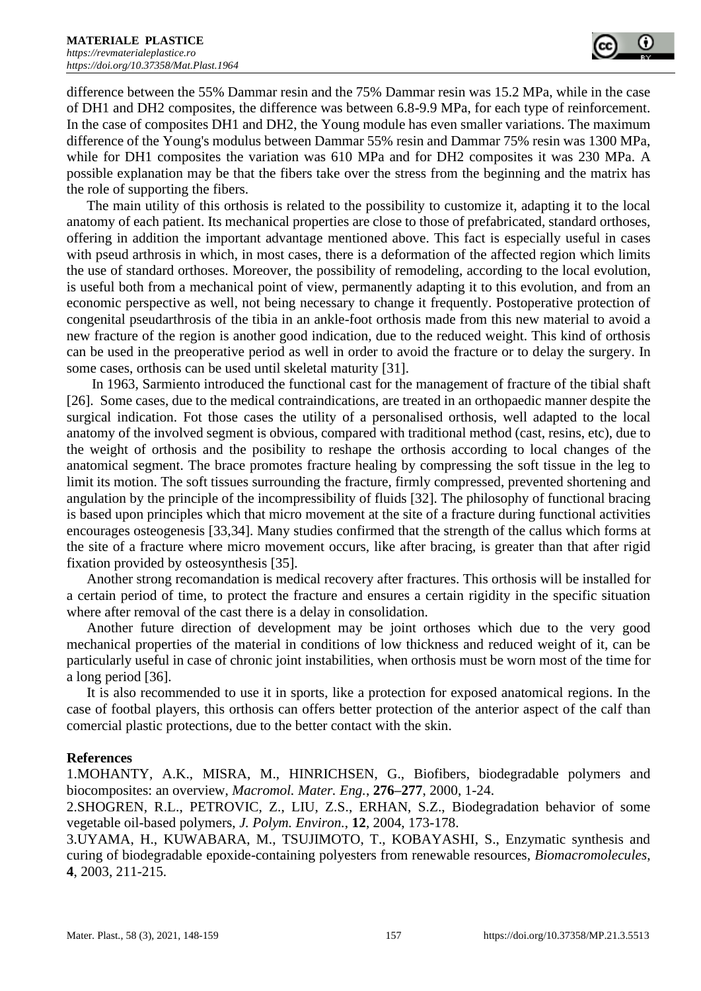difference between the 55% Dammar resin and the 75% Dammar resin was 15.2 MPa, while in the case of DH1 and DH2 composites, the difference was between 6.8-9.9 MPa, for each type of reinforcement. In the case of composites DH1 and DH2, the Young module has even smaller variations. The maximum difference of the Young's modulus between Dammar 55% resin and Dammar 75% resin was 1300 MPa, while for DH1 composites the variation was 610 MPa and for DH2 composites it was 230 MPa. A possible explanation may be that the fibers take over the stress from the beginning and the matrix has the role of supporting the fibers.

The main utility of this orthosis is related to the possibility to customize it, adapting it to the local anatomy of each patient. Its mechanical properties are close to those of prefabricated, standard orthoses, offering in addition the important advantage mentioned above. This fact is especially useful in cases with pseud arthrosis in which, in most cases, there is a deformation of the affected region which limits the use of standard orthoses. Moreover, the possibility of remodeling, according to the local evolution, is useful both from a mechanical point of view, permanently adapting it to this evolution, and from an economic perspective as well, not being necessary to change it frequently. Postoperative protection of congenital pseudarthrosis of the tibia in an ankle-foot orthosis made from this new material to avoid a new fracture of the region is another good indication, due to the reduced weight. This kind of orthosis can be used in the preoperative period as well in order to avoid the fracture or to delay the surgery. In some cases, orthosis can be used until skeletal maturity [31].

In 1963, Sarmiento introduced the functional cast for the management of fracture of the tibial shaft [26]. Some cases, due to the medical contraindications, are treated in an orthopaedic manner despite the surgical indication. Fot those cases the utility of a personalised orthosis, well adapted to the local anatomy of the involved segment is obvious, compared with traditional method (cast, resins, etc), due to the weight of orthosis and the posibility to reshape the orthosis according to local changes of the anatomical segment. The brace promotes fracture healing by compressing the soft tissue in the leg to limit its motion. The soft tissues surrounding the fracture, firmly compressed, prevented shortening and angulation by the principle of the incompressibility of fluids [32]. The philosophy of functional bracing is based upon principles which that micro movement at the site of a fracture during functional activities encourages osteogenesis [33,34]. Many studies confirmed that the strength of the callus which forms at the site of a fracture where micro movement occurs, like after bracing, is greater than that after rigid fixation provided by osteosynthesis [35].

Another strong recomandation is medical recovery after fractures. This orthosis will be installed for a certain period of time, to protect the fracture and ensures a certain rigidity in the specific situation where after removal of the cast there is a delay in consolidation.

Another future direction of development may be joint orthoses which due to the very good mechanical properties of the material in conditions of low thickness and reduced weight of it, can be particularly useful in case of chronic joint instabilities, when orthosis must be worn most of the time for a long period [36].

It is also recommended to use it in sports, like a protection for exposed anatomical regions. In the case of footbal players, this orthosis can offers better protection of the anterior aspect of the calf than comercial plastic protections, due to the better contact with the skin.

#### **References**

1.MOHANTY, A.K., MISRA, M., HINRICHSEN, G., Biofibers, biodegradable polymers and biocomposites: an overview, *Macromol. Mater. Eng.*, **276–277**, 2000, 1-24.

2.SHOGREN, R.L., PETROVIC, Z., LIU, Z.S., ERHAN, S.Z., Biodegradation behavior of some vegetable oil-based polymers, *J. Polym. Environ.*, **12**, 2004, 173-178.

3.UYAMA, H., KUWABARA, M., TSUJIMOTO, T., KOBAYASHI, S., Enzymatic synthesis and curing of biodegradable epoxide-containing polyesters from renewable resources, *Biomacromolecules*, **4**, 2003, 211-215.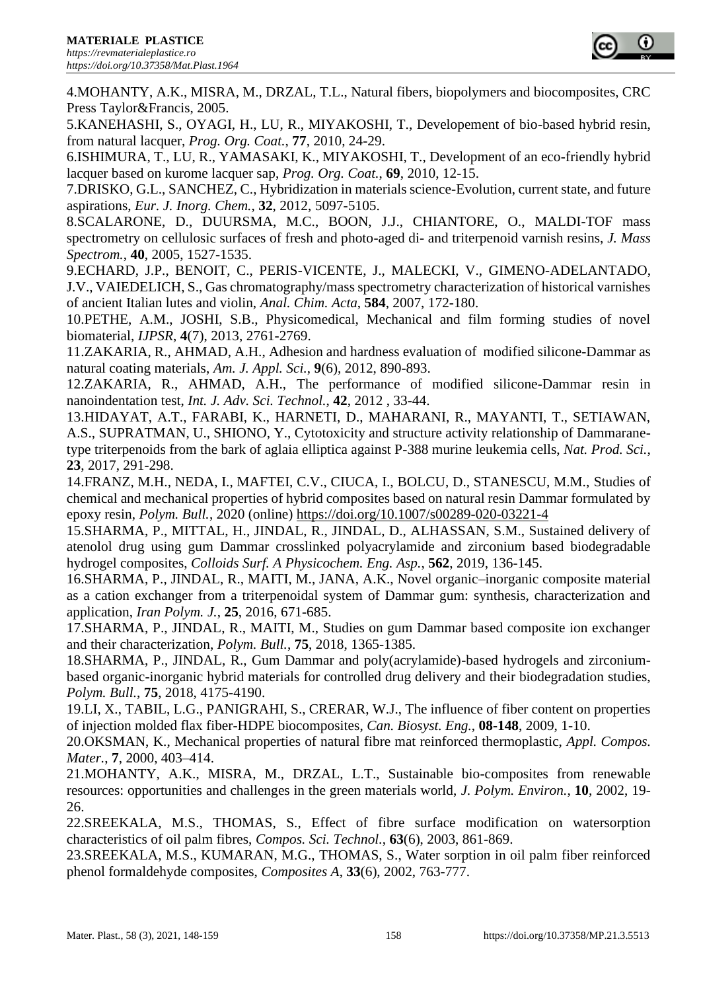

4.MOHANTY, A.K., MISRA, M., DRZAL, T.L., Natural fibers, biopolymers and biocomposites, CRC Press Taylor&Francis, 2005.

5.KANEHASHI, S., OYAGI, H., LU, R., MIYAKOSHI, T., Developement of bio-based hybrid resin, from natural lacquer, *Prog. Org. Coat.*, **77**, 2010, 24-29.

6.ISHIMURA, T., LU, R., YAMASAKI, K., MIYAKOSHI, T., Development of an eco-friendly hybrid lacquer based on kurome lacquer sap, *Prog. Org. Coat.*, **69**, 2010, 12-15.

7.DRISKO, G.L., SANCHEZ, C., Hybridization in materials science-Evolution, current state, and future aspirations, *Eur. J. Inorg. Chem.*, **32**, 2012, 5097-5105.

8.SCALARONE, D., DUURSMA, M.C., BOON, J.J., CHIANTORE, O., MALDI-TOF mass spectrometry on cellulosic surfaces of fresh and photo-aged di- and triterpenoid varnish resins, *J. Mass Spectrom.*, **40**, 2005, 1527-1535.

9.ECHARD, J.P., BENOIT, C., PERIS-VICENTE, J., MALECKI, V., GIMENO-ADELANTADO, J.V., VAIEDELICH, S., Gas chromatography/mass spectrometry characterization of historical varnishes of ancient Italian lutes and violin, *Anal. Chim. Acta*, **584**, 2007, 172-180.

10.PETHE, A.M., JOSHI, S.B., Physicomedical, Mechanical and film forming studies of novel biomaterial, *IJPSR*, **4**(7), 2013, 2761-2769.

11.ZAKARIA, R., AHMAD, A.H., Adhesion and hardness evaluation of modified silicone-Dammar as natural coating materials, *Am. J. Appl. Sci.*, **9**(6), 2012, 890-893.

12.ZAKARIA, R., AHMAD, A.H., The performance of modified silicone-Dammar resin in nanoindentation test, *Int. J. Adv. Sci. Technol.*, **42**, 2012 , 33-44.

13.HIDAYAT, A.T., FARABI, K., HARNETI, D., MAHARANI, R., MAYANTI, T., SETIAWAN, A.S., SUPRATMAN, U., SHIONO, Y., Cytotoxicity and structure activity relationship of Dammaranetype triterpenoids from the bark of aglaia elliptica against P-388 murine leukemia cells, *Nat. Prod. Sci.*, **23**, 2017, 291-298.

14.FRANZ, M.H., NEDA, I., MAFTEI, C.V., CIUCA, I., BOLCU, D., STANESCU, M.M., Studies of chemical and mechanical properties of hybrid composites based on natural resin Dammar formulated by epoxy resin, *Polym. Bull.*, 2020 (online)<https://doi.org/10.1007/s00289-020-03221-4>

15.SHARMA, P., MITTAL, H., JINDAL, R., JINDAL, D., ALHASSAN, S.M., Sustained delivery of atenolol drug using gum Dammar crosslinked polyacrylamide and zirconium based biodegradable hydrogel composites, *Colloids Surf. A Physicochem. Eng. Asp.*, **562**, 2019, 136-145.

16.SHARMA, P., JINDAL, R., MAITI, M., JANA, A.K., Novel organic–inorganic composite material as a cation exchanger from a triterpenoidal system of Dammar gum: synthesis, characterization and application, *Iran Polym. J.*, **25**, 2016, 671-685.

17.SHARMA, P., JINDAL, R., MAITI, M., Studies on gum Dammar based composite ion exchanger and their characterization, *Polym. Bull.*, **75**, 2018, 1365-1385.

18.SHARMA, P., JINDAL, R., Gum Dammar and poly(acrylamide)-based hydrogels and zirconiumbased organic-inorganic hybrid materials for controlled drug delivery and their biodegradation studies, *Polym. Bull.*, **75**, 2018, 4175-4190.

19.LI, X., TABIL, L.G., PANIGRAHI, S., CRERAR, W.J., The influence of fiber content on properties of injection molded flax fiber-HDPE biocomposites, *Can. Biosyst. Eng.*, **08-148**, 2009, 1-10.

20.OKSMAN, K., Mechanical properties of natural fibre mat reinforced thermoplastic, *Appl. Compos. Mater.*, **7**, 2000, 403–414.

21.MOHANTY, A.K., MISRA, M., DRZAL, L.T., Sustainable bio-composites from renewable resources: opportunities and challenges in the green materials world, *J. Polym. Environ.*, **10**, 2002, 19- 26.

22.SREEKALA, M.S., THOMAS, S., Effect of fibre surface modification on watersorption characteristics of oil palm fibres, *Compos. Sci. Technol.*, **63**(6), 2003, 861-869.

23.SREEKALA, M.S., KUMARAN, M.G., THOMAS, S., Water sorption in oil palm fiber reinforced phenol formaldehyde composites, *Composites A*, **33**(6), 2002, 763-777.